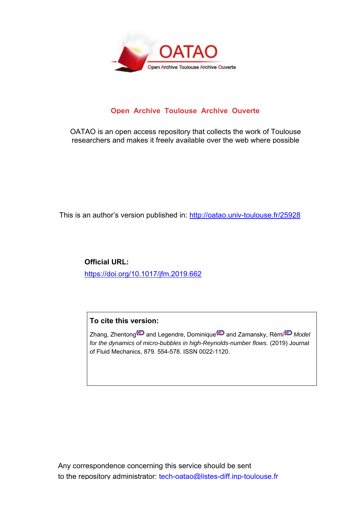

## **Open Archive Toulouse Archive Ouverte**

OATAO is an open access repository that collects the work of Toulouse researchers and makes it freely available over the web where possible

This is an author's version published in: http://oatao.univ-toulouse.fr/25928

**Official URL:** https://doi.org/10.1017/jfm.2019.662

### **To cite this version:**

Zhang, Zhentong **and Legendre, Dominique D** and Zamansky, Rémi<sup>to</sup> Model *for the dynamics of micro-bubbles in high-Reynolds-number flows.* (2019) Journal of Fluid Mechanics, 879. 554-578. ISSN 0022-1120.

Any correspondence concerning this service should be sent to the repository administrator: tech-oatao@listes-diff.inp-toulouse.fr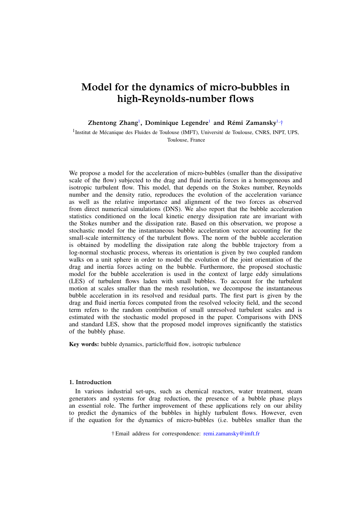# Model for the dynamics of micro-bubbles in high-Reynolds-number flows

Zhentong Zhang<sup>1</sup>, Dominique Legendre<sup>1</sup> and Rémi Zamansky<sup>1,†</sup>

<sup>1</sup>Institut de Mécanique des Fluides de Toulouse (IMFT), Université de Toulouse, CNRS, INPT, UPS, Toulouse, France

We propose a model for the acceleration of micro-bubbles (smaller than the dissipative scale of the flow) subjected to the drag and fluid inertia forces in a homogeneous and isotropic turbulent flow. This model, that depends on the Stokes number, Reynolds number and the density ratio, reproduces the evolution of the acceleration variance as well as the relative importance and alignment of the two forces as observed from direct numerical simulations (DNS). We also report that the bubble acceleration statistics conditioned on the local kinetic energy dissipation rate are invariant with the Stokes number and the dissipation rate. Based on this observation, we propose a stochastic model for the instantaneous bubble acceleration vector accounting for the small-scale intermittency of the turbulent flows. The norm of the bubble acceleration is obtained by modelling the dissipation rate along the bubble trajectory from a log-normal stochastic process, whereas its orientation is given by two coupled random walks on a unit sphere in order to model the evolution of the joint orientation of the drag and inertia forces acting on the bubble. Furthermore, the proposed stochastic model for the bubble acceleration is used in the context of large eddy simulations (LES) of turbulent flows laden with small bubbles. To account for the turbulent motion at scales smaller than the mesh resolution, we decompose the instantaneous bubble acceleration in its resolved and residual parts. The first part is given by the drag and fluid inertia forces computed from the resolved velocity field, and the second term refers to the random contribution of small unresolved turbulent scales and is estimated with the stochastic model proposed in the paper. Comparisons with DNS and standard LES, show that the proposed model improves significantly the statistics of the bubbly phase.

Key words: bubble dynamics, particle/fluid flow, isotropic turbulence

#### 1. Introduction

In various industrial set-ups, such as chemical reactors, water treatment, steam generators and systems for drag reduction, the presence of a bubble phase plays an essential role. The further improvement of these applications rely on our ability to predict the dynamics of the bubbles in highly turbulent flows. However, even if the equation for the dynamics of micro-bubbles (i.e. bubbles smaller than the

† Email address for correspondence: remi.zamansky@imft.fr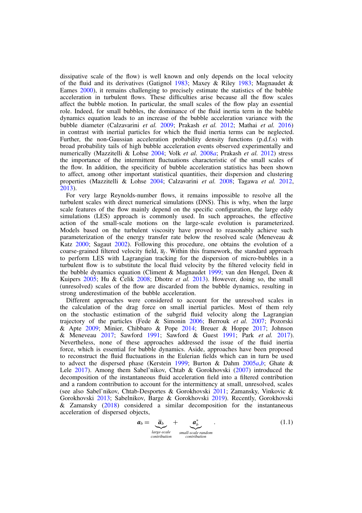dissipative scale of the flow) is well known and only depends on the local velocity of the fluid and its derivatives (Gatignol 1983; Maxey & Riley 1983; Magnaudet & Eames 2000), it remains challenging to precisely estimate the statistics of the bubble acceleration in turbulent flows. These difficulties arise because all the flow scales affect the bubble motion. In particular, the small scales of the flow play an essential role. Indeed, for small bubbles, the dominance of the fluid inertia term in the bubble dynamics equation leads to an increase of the bubble acceleration variance with the bubble diameter (Calzavarini *et al.* 2009; Prakash *et al.* 2012; Mathai *et al.* 2016) in contrast with inertial particles for which the fluid inertia terms can be neglected. Further, the non-Gaussian acceleration probability density functions (p.d.f.s) with broad probability tails of high bubble acceleration events observed experimentally and numerically (Mazzitelli & Lohse 2004; Volk *et al.* 2008*a*; Prakash *et al.* 2012) stress the importance of the intermittent fluctuations characteristic of the small scales of the flow. In addition, the specificity of bubble acceleration statistics has been shown to affect, among other important statistical quantities, their dispersion and clustering properties (Mazzitelli & Lohse 2004; Calzavarini *et al.* 2008; Tagawa *et al.* 2012, 2013).

For very large Reynolds-number flows, it remains impossible to resolve all the turbulent scales with direct numerical simulations (DNS). This is why, when the large scale features of the flow mainly depend on the specific configuration, the large eddy simulations (LES) approach is commonly used. In such approaches, the effective action of the small-scale motions on the large-scale evolution is parameterized. Models based on the turbulent viscosity have proved to reasonably achieve such parameterization of the energy transfer rate below the resolved scale (Meneveau & Katz 2000; Sagaut 2002). Following this procedure, one obtains the evolution of a coarse-grained filtered velocity field,  $\overline{u}_f$ . Within this framework, the standard approach to perform LES with Lagrangian tracking for the dispersion of micro-bubbles in a turbulent flow is to substitute the local fluid velocity by the filtered velocity field in the bubble dynamics equation (Climent & Magnaudet 1999; van den Hengel, Deen & Kuipers 2005; Hu & Celik 2008; Dhotre *et al.* 2013). However, doing so, the small (unresolved) scales of the flow are discarded from the bubble dynamics, resulting in strong underestimation of the bubble acceleration.

Different approaches were considered to account for the unresolved scales in the calculation of the drag force on small inertial particles. Most of them rely on the stochastic estimation of the subgrid fluid velocity along the Lagrangian trajectory of the particles (Fede & Simonin 2006; Berrouk *et al.* 2007; Pozorski & Apte 2009; Minier, Chibbaro & Pope 2014; Breuer & Hoppe 2017; Johnson & Meneveau 2017; Sawford 1991; Sawford & Guest 1991; Park *et al.* 2017). Nevertheless, none of these approaches addressed the issue of the fluid inertia force, which is essential for bubble dynamics. Aside, approaches have been proposed to reconstruct the fluid fluctuations in the Eulerian fields which can in turn be used to advect the dispersed phase (Kerstein 1999; Burton & Dahm 2005*a*,*b*; Ghate & Lele 2017). Among them Sabel'nikov, Chtab & Gorokhovski (2007) introduced the decomposition of the instantaneous fluid acceleration field into a filtered contribution and a random contribution to account for the intermittency at small, unresolved, scales (see also Sabel'nikov, Chtab-Desportes & Gorokhovski 2011; Zamansky, Vinkovic & Gorokhovski 2013; Sabelnikov, Barge & Gorokhovski 2019). Recently, Gorokhovski & Zamansky (2018) considered a similar decomposition for the instantaneous acceleration of dispersed objects,

$$
a_b = \underbrace{\overline{a}_b}_{\text{large-scale}} + \underbrace{a_b^*}_{\text{small-scale random}}.
$$
 (1.1)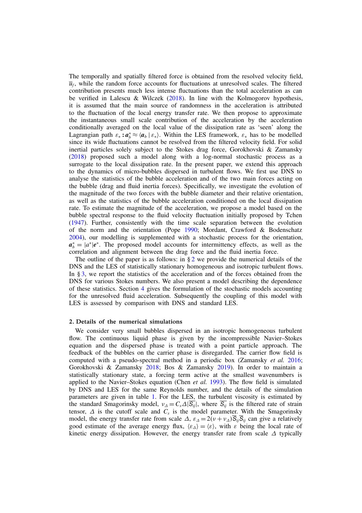The temporally and spatially filtered force is obtained from the resolved velocity field,  $\overline{u}_f$ , while the random force accounts for fluctuations at unresolved scales. The filtered contribution presents much less intense fluctuations than the total acceleration as can be verified in Lalescu & Wilczek  $(2018)$ . In line with the Kolmogorov hypothesis, it is assumed that the main source of randomness in the acceleration is attributed to the fluctuation of the local energy transfer rate. We then propose to approximate the instantaneous small scale contribution of the acceleration by the acceleration conditionally averaged on the local value of the dissipation rate as 'seen' along the Lagrangian path  $\varepsilon_* : a_b^* \approx \langle a_b | \varepsilon_* \rangle$ . Within the LES framework,  $\varepsilon_*$  has to be modelled since its wide fluctuations cannot be resolved from the filtered velocity field. For solid inertial particles solely subject to the Stokes drag force, Gorokhovski & Zamansky (2018) proposed such a model along with a log-normal stochastic process as a surrogate to the local dissipation rate. In the present paper, we extend this approach to the dynamics of micro-bubbles dispersed in turbulent flows. We first use DNS to analyse the statistics of the bubble acceleration and of the two main forces acting on the bubble (drag and fluid inertia forces). Specifically, we investigate the evolution of the magnitude of the two forces with the bubble diameter and their relative orientation, as well as the statistics of the bubble acceleration conditioned on the local dissipation rate. To estimate the magnitude of the acceleration, we propose a model based on the bubble spectral response to the fluid velocity fluctuation initially proposed by Tchen (1947). Further, consistently with the time scale separation between the evolution of the norm and the orientation (Pope 1990; Mordant, Crawford & Bodenschatz 2004), our modelling is supplemented with a stochastic process for the orientation,  $a_b^* = |a^*|e^*$ . The proposed model accounts for intermittency effects, as well as the correlation and alignment between the drag force and the fluid inertia force.

The outline of the paper is as follows: in  $\S 2$  we provide the numerical details of the DNS and the LES of statistically stationary homogeneous and isotropic turbulent flows. In § 3, we report the statistics of the acceleration and of the forces obtained from the DNS for various Stokes numbers. We also present a model describing the dependence of these statistics. Section 4 gives the formulation of the stochastic models accounting for the unresolved fluid acceleration. Subsequently the coupling of this model with LES is assessed by comparison with DNS and standard LES.

#### 2. Details of the numerical simulations

We consider very small bubbles dispersed in an isotropic homogeneous turbulent flow. The continuous liquid phase is given by the incompressible Navier–Stokes equation and the dispersed phase is treated with a point particle approach. The feedback of the bubbles on the carrier phase is disregarded. The carrier flow field is computed with a pseudo-spectral method in a periodic box (Zamansky *et al.* 2016; Gorokhovski & Zamansky 2018; Bos & Zamansky 2019). In order to maintain a statistically stationary state, a forcing term active at the smallest wavenumbers is applied to the Navier–Stokes equation (Chen *et al.* 1993). The flow field is simulated by DNS and LES for the same Reynolds number, and the details of the simulation parameters are given in table 1. For the LES, the turbulent viscosity is estimated by the standard Smagorinsky model,  $v_A = C_s \Delta |\overline{S_{ii}}|$ , where  $\overline{S_{ii}}$  is the filtered rate of strain tensor,  $\Delta$  is the cutoff scale and  $\overline{C_s}$  is the model parameter. With the Smagorinsky model, the energy transfer rate from scale  $\Delta$ ,  $\varepsilon_{\Delta} = 2(\nu + \nu_{\Delta})\overline{S}_{ij}\overline{S}_{ij}$  can give a relatively good estimate of the average energy flux,  $\langle \varepsilon_A \rangle = \langle \varepsilon \rangle$ , with  $\varepsilon$  being the local rate of kinetic energy dissipation. However, the energy transfer rate from scale  $\Delta$  typically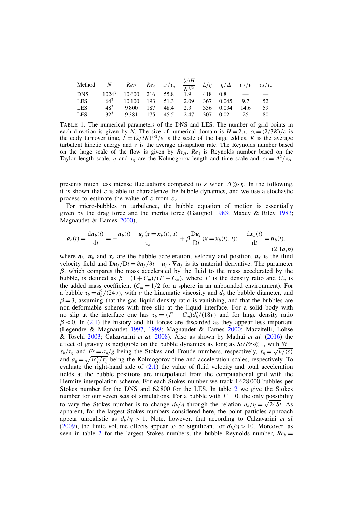| Method N $Re_H$ $Re_\lambda$ $\tau_L/\tau_\eta$ $\frac{\langle \varepsilon \rangle H}{K^{3/2}}$ $L/\eta$ $\eta/\Delta$ $v_\Delta/v$ $\tau_\Delta/\tau_\eta$ |                 |                                          |  |  |                                 |     |
|-------------------------------------------------------------------------------------------------------------------------------------------------------------|-----------------|------------------------------------------|--|--|---------------------------------|-----|
| DNS $1024^3$ $10600$ $216$ 55.8 $1.9$ 418 0.8 - -                                                                                                           |                 |                                          |  |  |                                 |     |
| <b>LES</b>                                                                                                                                                  |                 | $64^3$ 10100 193 51.3 2.09 367 0.045 9.7 |  |  |                                 | 52  |
| <b>LES</b>                                                                                                                                                  | 48 <sup>3</sup> | 9 800 187 48.4 2.3 336 0.034 14.6        |  |  |                                 | -59 |
| <b>LES</b>                                                                                                                                                  | $32^{3}$        |                                          |  |  | 9 381 175 45.5 2.47 307 0.02 25 | 80  |

TABLE 1. The numerical parameters of the DNS and LES. The number of grid points in each direction is given by *N*. The size of numerical domain is  $H = 2\pi$ ,  $\tau_l = (2/3K)/\varepsilon$  is the eddy turnover time,  $L = (2/3K)^{3/2}/\varepsilon$  is the scale of the large eddies, *K* is the average turbulent kinetic energy and  $\varepsilon$  is the average dissipation rate. The Reynolds number based on the large scale of the flow is given by  $Re_H$ ,  $Re_A$  is Reynolds number based on the Taylor length scale,  $\eta$  and  $\tau_n$  are the Kolmogorov length and time scale and  $\tau_{\Delta} = \Delta^2/\nu_{\Delta}$ .

presents much less intense fluctuations compared to  $\varepsilon$  when  $\Delta \gg \eta$ . In the following, it is shown that  $\varepsilon$  is able to characterize the bubble dynamics, and we use a stochastic process to estimate the value of  $\varepsilon$  from  $\varepsilon_{\Lambda}$ .

For micro-bubbles in turbulence, the bubble equation of motion is essentially given by the drag force and the inertia force (Gatignol 1983; Maxey & Riley 1983; Magnaudet & Eames 2000),

$$
a_b(t) = \frac{du_b(t)}{dt} = -\frac{u_b(t) - u_f(x = x_b(t), t)}{\tau_b} + \beta \frac{Du_f}{Dt}(x = x_b(t), t); \quad \frac{dx_b(t)}{dt} = u_b(t),
$$
\n(2.1*a*,*b*)

where  $a_b$ ,  $u_b$  and  $x_b$  are the bubble acceleration, velocity and position,  $u_f$  is the fluid velocity field and  $Du_f/Dt = \partial u_f/\partial t + u_f \cdot \nabla u_f$  is its material derivative. The parameter  $\beta$ , which compares the mass accelerated by the fluid to the mass accelerated by the bubble, is defined as  $\beta = (1 + C_m)/(T + C_m)$ , where  $\Gamma$  is the density ratio and  $C_m$  is the added mass coefficient  $(C_m = 1/2$  for a sphere in an unbounded environment). For a bubble  $\tau_b = d_b^2/(24\nu)$ , with  $\nu$  the kinematic viscosity and  $d_b$  the bubble diameter, and  $\beta = 3$ , assuming that the gas–liquid density ratio is vanishing, and that the bubbles are non-deformable spheres with free slip at the liquid interface. For a solid body with no slip at the interface one has  $\tau_b = (T + C_m)d_b^2/(18\nu)$  and for large density ratio  $\beta \approx 0$ . In (2.1) the history and lift forces are discarded as they appear less important (Legendre & Magnaudet 1997, 1998; Magnaudet & Eames 2000; Mazzitelli, Lohse & Toschi 2003; Calzavarini *et al.* 2008). Also as shown by Mathai *et al.* (2016) the effect of gravity is negligible on the bubble dynamics as long as  $St/Fr \ll 1$ , with  $St =$  $\tau_b/\tau_\eta$  and  $Fr = a_\eta/g$  being the Stokes and Froude numbers, respectively,  $\tau_\eta = \sqrt{\nu/\langle \varepsilon \rangle}$ and  $a_n = \sqrt{\langle \varepsilon \rangle / \tau_n}$  being the Kolmogorov time and acceleration scales, respectively. To evaluate the right-hand side of  $(2.1)$  the value of fluid velocity and total acceleration fields at the bubble positions are interpolated from the computational grid with the Hermite interpolation scheme. For each Stokes number we track 1 628 000 bubbles per Stokes number for the DNS and 62 800 for the LES. In table 2 we give the Stokes number for our seven sets of simulations. For a bubble with  $\Gamma = 0$ , the only possibility to vary the Stokes number is to change  $d_b/\eta$  through the relation  $d_b/\eta = \sqrt{24St}$ . As apparent, for the largest Stokes numbers considered here, the point particles approach appear unrealistic as  $d_b/n > 1$ . Note, however, that according to Calzavarini *et al.* (2009), the finite volume effects appear to be significant for  $d_b/\eta > 10$ . Moreover, as seen in table 2 for the largest Stokes numbers, the bubble Reynolds number,  $Re_b =$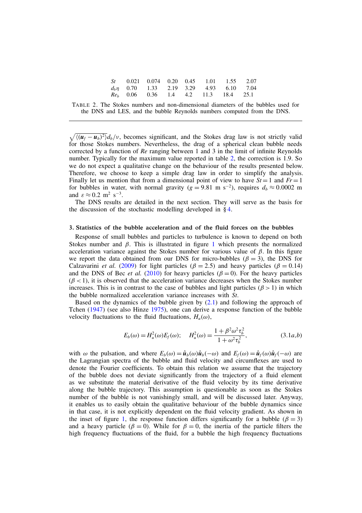|  | $St$ 0.021 0.074 0.20 0.45 1.01 1.55 2.07     |  |  |  |
|--|-----------------------------------------------|--|--|--|
|  | $d_h \eta$ 0.70 1.33 2.19 3.29 4.93 6.10 7.04 |  |  |  |
|  | $Re_b$ 0.06 0.36 1.4 4.2 11.3 18.4 25.1       |  |  |  |

TABLE 2. The Stokes numbers and non-dimensional diameters of the bubbles used for the DNS and LES, and the bubble Reynolds numbers computed from the DNS.

 $\sqrt{\langle(\boldsymbol{u}_f - \boldsymbol{u}_b)^2\rangle}d_b/v$ , becomes significant, and the Stokes drag law is not strictly valid for those Stokes numbers. Nevertheless, the drag of a spherical clean bubble needs corrected by a function of *Re* ranging between 1 and 3 in the limit of infinite Reynolds number. Typically for the maximum value reported in table 2, the correction is 1.9. So we do not expect a qualitative change on the behaviour of the results presented below. Therefore, we choose to keep a simple drag law in order to simplify the analysis. Finally let us mention that from a dimensional point of view to have  $St = 1$  and  $Fr = 1$ for bubbles in water, with normal gravity ( $g = 9.81$  m s<sup>-2</sup>), requires  $d_b \approx 0.0002$  m and  $\varepsilon \approx 0.2 \text{ m}^2 \text{ s}^{-3}$ .

The DNS results are detailed in the next section. They will serve as the basis for the discussion of the stochastic modelling developed in § 4.

#### 3. Statistics of the bubble acceleration and of the fluid forces on the bubbles

Response of small bubbles and particles to turbulence is known to depend on both Stokes number and  $\beta$ . This is illustrated in figure 1 which presents the normalized acceleration variance against the Stokes number for various value of  $\beta$ . In this figure we report the data obtained from our DNS for micro-bubbles ( $\beta = 3$ ), the DNS for Calzavarini *et al.* (2009) for light particles ( $\beta = 2.5$ ) and heavy particles ( $\beta = 0.14$ ) and the DNS of Bec *et al.* (2010) for heavy particles ( $\beta = 0$ ). For the heavy particles  $(\beta < 1)$ , it is observed that the acceleration variance decreases when the Stokes number increases. This is in contrast to the case of bubbles and light particles  $(\beta > 1)$  in which the bubble normalized acceleration variance increases with *St*.

Based on the dynamics of the bubble given by  $(2.1)$  and following the approach of Tchen (1947) (see also Hinze 1975), one can derive a response function of the bubble velocity fluctuations to the fluid fluctuations,  $H_u(\omega)$ ,

$$
E_b(\omega) = H_u^2(\omega) E_f(\omega); \quad H_u^2(\omega) = \frac{1 + \beta^2 \omega^2 \tau_b^2}{1 + \omega^2 \tau_b^2},
$$
(3.1*a*,*b*)

with  $\omega$  the pulsation, and where  $E_b(\omega) = \hat{u}_b(\omega)\hat{u}_b(-\omega)$  and  $E_f(\omega) = \hat{u}_f(\omega)\hat{u}_f(-\omega)$  are the Lagrangian spectra of the bubble and fluid velocity and circumflexes are used to denote the Fourier coefficients. To obtain this relation we assume that the trajectory of the bubble does not deviate significantly from the trajectory of a fluid element as we substitute the material derivative of the fluid velocity by its time derivative along the bubble trajectory. This assumption is questionable as soon as the Stokes number of the bubble is not vanishingly small, and will be discussed later. Anyway, it enables us to easily obtain the qualitative behaviour of the bubble dynamics since in that case, it is not explicitly dependent on the fluid velocity gradient. As shown in the inset of figure 1, the response function differs significantly for a bubble ( $\beta = 3$ ) and a heavy particle ( $\beta = 0$ ). While for  $\beta = 0$ , the inertia of the particle filters the high frequency fluctuations of the fluid, for a bubble the high frequency fluctuations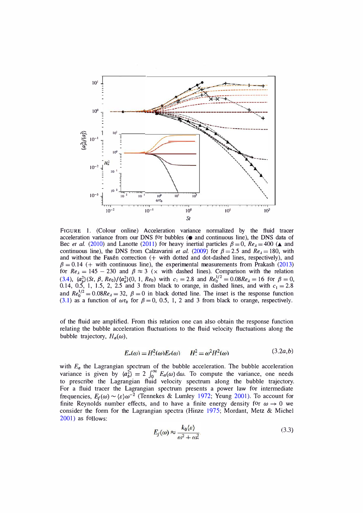

FIGURE 1. (Colour online) Acceleration variance normalized by the fluid tracer acceleration variance from our DNS for bubbles ( $\bullet$  and continuous line), the DNS data of Bec *et al.* (2010) and Lanotte (2011) for heavy inertial particles  $\beta = 0$ ,  $Re_\lambda = 400$  ( $\blacktriangle$  and continuous line), the DNS from Calzavarini *et al.* (2009) for  $\beta = 2.5$  and  $Re_\lambda = 180$ , with and without the Faxén correction  $(+)$  with dotted and dot-dashed lines, respectively), and  $\beta = 0.14$  (+ with continuous line), the experimental measurements from Prakash (2013) for  $Re_\lambda = 145 - 230$  and  $\beta \approx 3$  (x with dashed lines). Comparison with the relation (3.4),  $\langle a_b^2 \rangle$  (St,  $\beta$ ,  $Re_0$ )/ $\langle a_b^2 \rangle$  (0, 1,  $Re_0$ ) with  $c_1 = 2.8$  and  $Re_0^{1/2} = 0.08Re_\lambda = 16$  for  $\beta = 0$ , 0.14, 0.5, 1, 1.5, 2, 2.5 and 3 from black to orange, in dashed lines, and with  $c_1 = 2.8$ and  $Re_0^{1/2} = 0.08Re_\lambda = 32$ ,  $\beta = 0$  in black dotted line. The inset is the response function (3.1) as a function of  $\omega \tau_b$  for  $\beta = 0$ , 0.5, 1, 2 and 3 from black to orange, respectively.

of the fluid are amplified. From this relation one can also obtain the response function relating the bubble acceleration fluctuations to the fluid velocity fluctuations along the bubble trajectory,  $H_a(\omega)$ ,

$$
E_n(\omega) = H^2(\omega)E_n(\omega) \qquad H^2 = \omega^2 H^2(\omega) \tag{3.2a,b}
$$

with  $E_a$  the Lagrangian spectrum of the bubble acceleration. The bubble acceleration variance is given by  $\langle a_b^2 \rangle = 2 \int_0^\infty E_a(\omega) d\omega$ . To compute the variance, one needs to prescribe the Lagrangian fluid velocity spectrum along the bubble trajectory. For a fluid tracer the Lagrangian spectrum presents a power law for intermediate frequencies,  $E_f(\omega) \sim \langle \varepsilon \rangle \omega^{-2}$  (Tennekes & Lumley 1972; Yeung 2001). To account for finite Reynolds number effects, and to have a finite energy density for  $\omega \rightarrow 0$  we consider the form for the Lagrangian spectra (Hinze 1975; Mordant, Metz & Michel 2001) as follows:

$$
E_f(\omega) \approx \frac{k_0 \langle \varepsilon \rangle}{\omega^2 + \omega_0^2} \tag{3.3}
$$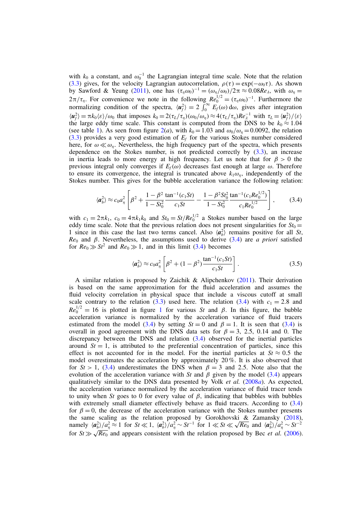with  $k_0$  a constant, and  $\omega_0^{-1}$  the Lagrangian integral time scale. Note that the relation (3.3) gives, for the velocity Lagrangian autocorrelation,  $\rho(\tau) = \exp(-\omega_0 \tau)$ . As shown by Sawford & Yeung (2011), one has  $(\tau_{\eta}\omega_0)^{-1} = (\omega_{\eta}/\omega_0)/2\pi \approx 0.08Re_{\lambda}$ , with  $\omega_{\eta} =$  $2\pi/\tau_{\eta}$ . For convenience we note in the following  $Re_0^{1/2} = (\tau_{\eta}\omega_0)^{-1}$ . Furthermore the normalizing condition of the spectra,  $\langle u_f^2 \rangle = 2 \int_0^\infty E_f(\omega) d\omega$ , gives after integration  $\langle u_f^2 \rangle = \pi k_0 \langle \varepsilon \rangle / \omega_0$  that imposes  $k_0 = 2(\tau_L / \tau_\eta)(\omega_0 / \omega_\eta) \approx 4(\tau_L / \tau_\eta) Re_{\lambda}^{-1}$  with  $\tau_L = \langle u_f^2 \rangle / \langle \varepsilon \rangle$ the large eddy time scale. This constant is computed from the DNS to be  $k_0 \approx 1.04$ (see table 1). As seen from figure  $2(a)$ , with  $k_0 = 1.03$  and  $\omega_0/\omega_n = 0.0092$ , the relation  $(3.3)$  provides a very good estimation of  $E_f$  for the various Stokes number considered here, for  $\omega \ll \omega_n$ . Nevertheless, the high frequency part of the spectra, which presents dependence on the Stokes number, is not predicted correctly by (3.3), an increase in inertia leads to more energy at high frequency. Let us note that for  $\beta > 0$  the previous integral only converges if  $E_f(\omega)$  decreases fast enough at large  $\omega$ . Therefore to ensure its convergence, the integral is truncated above  $k_1 \omega_n$ , independently of the Stokes number. This gives for the bubble acceleration variance the following relation:

$$
\langle \mathbf{a}_b^2 \rangle \approx c_0 a_\eta^2 \left[ \beta^2 + \frac{1 - \beta^2}{1 - St_0^2} \frac{\tan^{-1}(c_1 St)}{c_1 St} - \frac{1 - \beta^2 St_0^2}{1 - St_0^2} \frac{\tan^{-1}(c_1 Re_0^{1/2})}{c_1 Re_0^{1/2}} \right],\tag{3.4}
$$

with  $c_1 = 2\pi k_1$ ,  $c_0 = 4\pi k_1 k_0$  and  $St_0 = St/Re_0^{1/2}$  a Stokes number based on the large eddy time scale. Note that the previous relation does not present singularities for  $St_0 =$ 1 since in this case the last two terms cancel. Also  $\langle a_b^2 \rangle$  remains positive for all *St*,  $Re_0$  and  $\beta$ . Nevertheless, the assumptions used to derive  $(3.4)$  are *a priori* satisfied for  $Re_0 \gg St^2$  and  $Re_0 \gg 1$ , and in this limit (3.4) becomes

$$
\langle \mathbf{a}_b^2 \rangle \approx c_0 a_\eta^2 \left[ \beta^2 + (1 - \beta^2) \frac{\tan^{-1}(c_1 S t)}{c_1 S t} \right]. \tag{3.5}
$$

A similar relation is proposed by Zaichik & Alipchenkov (2011). Their derivation is based on the same approximation for the fluid acceleration and assumes the fluid velocity correlation in physical space that include a viscous cutoff at small scale contrary to the relation  $(3.3)$  used here. The relation  $(3.4)$  with  $c_1 = 2.8$  and  $Re_0^{1/2} = 16$  is plotted in figure 1 for various *St* and  $\beta$ . In this figure, the bubble acceleration variance is normalized by the acceleration variance of fluid tracers estimated from the model (3.4) by setting  $St = 0$  and  $\beta = 1$ . It is seen that (3.4) is overall in good agreement with the DNS data sets for  $\beta = 3, 2.5, 0.14$  and 0. The discrepancy between the DNS and relation (3.4) observed for the inertial particles around  $St = 1$ , is attributed to the preferential concentration of particles, since this effect is not accounted for in the model. For the inertial particles at  $St \approx 0.5$  the model overestimates the acceleration by approximately 20 %. It is also observed that for  $St > 1$ , (3.4) underestimates the DNS when  $\beta = 3$  and 2.5. Note also that the evolution of the acceleration variance with *St* and  $\beta$  given by the model (3.4) appears qualitatively similar to the DNS data presented by Volk *et al.* (2008*a*). As expected, the acceleration variance normalized by the acceleration variance of fluid tracer tends to unity when *St* goes to 0 for every value of  $\beta$ , indicating that bubbles with bubbles with extremely small diameter effectively behave as fluid tracers. According to  $(3.4)$ for  $\beta = 0$ , the decrease of the acceleration variance with the Stokes number presents the same scaling as the relation proposed by Gorokhovski  $\&$  Zamansky (2018), namely  $\langle a_{b}^{2} \rangle / a_{n}^{2} \approx 1$  for  $St \ll 1$ ,  $\langle a_{b}^{2} \rangle / a_{n}^{2} \sim St^{-1}$  for  $1 \ll St \ll \sqrt{Re_{0}}$  and  $\langle a_{b}^{2} \rangle / a_{n}^{2} \sim St^{-2}$ for  $St \gg \sqrt{Re_0}$  and appears consistent with the relation proposed by Bec *et al.* (2006).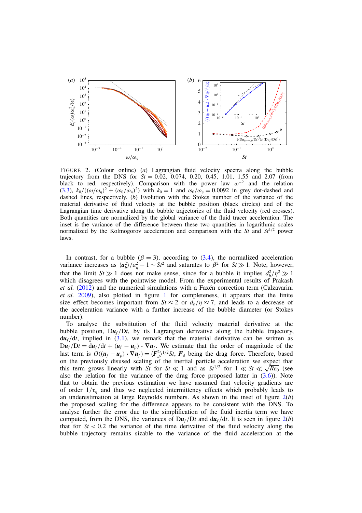

FIGURE 2. (Colour online) (*a*) Lagrangian fluid velocity spectra along the bubble trajectory from the DNS for  $St = 0.02$ , 0.074, 0.20, 0.45, 1.01, 1.55 and 2.07 (from black to red, respectively). Comparison with the power law  $\omega^{-2}$  and the relation (3.3),  $k_0/((\omega/\omega_n)^2 + (\omega_0/\omega_n)^2)$  with  $k_0 = 1$  and  $\omega_0/\omega_n = 0.0092$  in grey dot-dashed and dashed lines, respectively. (*b*) Evolution with the Stokes number of the variance of the material derivative of fluid velocity at the bubble position (black circles) and of the Lagrangian time derivative along the bubble trajectories of the fluid velocity (red crosses). Both quantities are normalized by the global variance of the fluid tracer acceleration. The inset is the variance of the difference between these two quantities in logarithmic scales normalized by the Kolmogorov acceleration and comparison with the *St* and *St*<sup>1</sup>*/*<sup>2</sup> power laws.

In contrast, for a bubble  $(\beta = 3)$ , according to (3.4), the normalized acceleration variance increases as  $\langle a_b^2 \rangle / a_\eta^2 - 1 \sim St^2$  and saturates to  $\beta^2$  for  $St \gg 1$ . Note, however, that the limit  $St \gg 1$  does not make sense, since for a bubble it implies  $d_b^2 / \eta^2 \gg 1$ which disagrees with the pointwise model. From the experimental results of Prakash *et al.* (2012) and the numerical simulations with a Faxén correction term (Calzavarini *et al.* 2009), also plotted in figure 1 for completeness, it appears that the finite size effect becomes important from  $St \approx 2$  or  $d_b/\eta \approx 7$ , and leads to a decrease of the acceleration variance with a further increase of the bubble diameter (or Stokes number).

To analyse the substitution of the fluid velocity material derivative at the bubble position,  $D\mathbf{u}_f/Dt$ , by its Lagrangian derivative along the bubble trajectory,  $du_f/dt$ , implied in (3.1), we remark that the material derivative can be written as  $D\dot{u}_f/Dt = d\dot{u}_f/dt + (\dot{u}_f - \dot{u}_p) \cdot \nabla u_f$ . We estimate that the order of magnitude of the last term is  $O((u_f - u_p) \cdot \nabla u_f) = \langle F_d^2 \rangle^{1/2} St, F_d$  being the drag force. Therefore, based on the previously disused scaling of the inertial particle acceleration we expect that this term grows linearly with *St* for  $St \ll 1$  and as  $St^{1/2}$  for  $1 \ll St \ll \sqrt{Re_0}$  (see also the relation for the variance of the drag force proposed latter in  $(3.6)$ ). Note that to obtain the previous estimation we have assumed that velocity gradients are of order  $1/\tau_n$  and thus we neglected intermittency effects which probably leads to an underestimation at large Reynolds numbers. As shown in the inset of figure 2(*b*) the proposed scaling for the difference appears to be consistent with the DNS. To analyse further the error due to the simplification of the fluid inertia term we have computed, from the DNS, the variances of  $D\mathbf{u}_f/Dt$  and  $d\mathbf{u}_f/dt$ . It is seen in figure 2(*b*) that for  $St < 0.2$  the variance of the time derivative of the fluid velocity along the bubble trajectory remains sizable to the variance of the fluid acceleration at the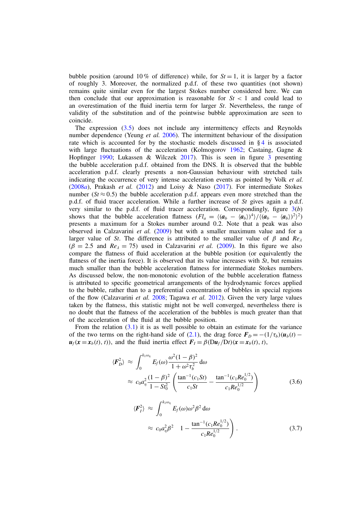bubble position (around 10% of difference) while, for  $St = 1$ , it is larger by a factor of roughly 3. Moreover, the normalized p.d.f. of these two quantities (not shown) remains quite similar even for the largest Stokes number considered here. We can then conclude that our approximation is reasonable for  $St < 1$  and could lead to an overestimation of the fluid inertia term for larger *St*. Nevertheless, the range of validity of the substitution and of the pointwise bubble approximation are seen to coincide.

The expression (3.5) does not include any intermittency effects and Reynolds number dependence (Yeung *et al.* 2006). The intermittent behaviour of the dissipation rate which is accounted for by the stochastic models discussed in  $\S 4$  is associated with large fluctuations of the acceleration (Kolmogorov 1962; Castaing, Gagne & Hopfinger 1990; Lukassen & Wilczek 2017). This is seen in figure 3 presenting the bubble acceleration p.d.f. obtained from the DNS. It is observed that the bubble acceleration p.d.f. clearly presents a non-Gaussian behaviour with stretched tails indicating the occurrence of very intense acceleration events as pointed by Volk *et al.* (2008*a*), Prakash *et al.* (2012) and Loisy & Naso (2017). For intermediate Stokes number ( $St \approx 0.5$ ) the bubble acceleration p.d.f. appears even more stretched than the p.d.f. of fluid tracer acceleration. While a further increase of *St* gives again a p.d.f. very similar to the p.d.f. of fluid tracer acceleration. Correspondingly, figure 3(*b*) shows that the bubble acceleration flatness  $(Fl_a = \langle (a_b - \langle a_b \rangle)^4 \rangle / \langle (a_b - \langle a_b \rangle)^2 \rangle^2)$ presents a maximum for a Stokes number around 0*.*2. Note that a peak was also observed in Calzavarini *et al.* (2009) but with a smaller maximum value and for a larger value of *St*. The difference is attributed to the smaller value of  $\beta$  and  $Re_\lambda$  $(\beta = 2.5$  and  $Re<sub>\lambda</sub> = 75)$  used in Calzavarini *et al.* (2009). In this figure we also compare the flatness of fluid acceleration at the bubble position (or equivalently the flatness of the inertia force). It is observed that its value increases with *St*, but remains much smaller than the bubble acceleration flatness for intermediate Stokes numbers. As discussed below, the non-monotonic evolution of the bubble acceleration flatness is attributed to specific geometrical arrangements of the hydrodynamic forces applied to the bubble, rather than to a preferential concentration of bubbles in special regions of the flow (Calzavarini *et al.* 2008; Tagawa *et al.* 2012). Given the very large values taken by the flatness, this statistic might not be well converged, nevertheless there is no doubt that the flatness of the acceleration of the bubbles is much greater than that of the acceleration of the fluid at the bubble position.

From the relation (3.1) it is as well possible to obtain an estimate for the variance of the two terms on the right-hand side of (2.1), the drag force  $\mathbf{F}_D = -(1/\tau_b)(\mathbf{u}_b(t)$  $u_f(x = x_b(t), t)$ , and the fluid inertia effect  $F_I = \beta (Du_f/Dt)(x = x_b(t), t)$ ,

$$
\langle \boldsymbol{F}_{D}^{2} \rangle \approx \int_{0}^{k_{1}\omega_{\eta}} E_{f}(\omega) \frac{\omega^{2}(1-\beta)^{2}}{1+\omega^{2}\tau_{b}^{2}} d\omega
$$
  

$$
\approx c_{0} a_{\eta}^{2} \frac{(1-\beta)^{2}}{1-St_{0}^{2}} \left( \frac{\tan^{-1}(c_{1}St)}{c_{1}St} - \frac{\tan^{-1}(c_{1}Re_{0}^{1/2})}{c_{1}Re_{0}^{1/2}} \right)
$$
(3.6)

$$
\langle \boldsymbol{F}_I^2 \rangle \approx \int_0^{k_1 \omega_\eta} E_f(\omega) \omega^2 \beta^2 d\omega
$$
  
 
$$
\approx c_0 a_\eta^2 \beta^2 \quad 1 - \frac{\tan^{-1}(c_1 R e_0^{1/2})}{c_1 R e_0^{1/2}}.
$$
 (3.7)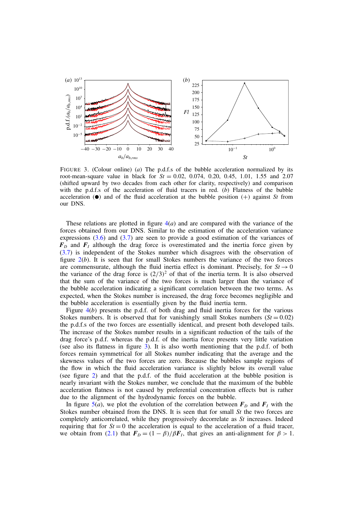

FIGURE 3. (Colour online) (*a*) The p.d.f.s of the bubble acceleration normalized by its root-mean-square value in black for  $St = 0.02$ , 0.074, 0.20, 0.45, 1.01, 1.55 and 2.07 (shifted upward by two decades from each other for clarity, respectively) and comparison with the p.d.f.s of the acceleration of fluid tracers in red. (*b*) Flatness of the bubble acceleration  $\left( \bullet \right)$  and of the fluid acceleration at the bubble position  $(+)$  against *St* from our DNS.

These relations are plotted in figure  $4(a)$  and are compared with the variance of the forces obtained from our DNS. Similar to the estimation of the acceleration variance expressions  $(3.6)$  and  $(3.7)$  are seen to provide a good estimation of the variances of  $F<sub>D</sub>$  and  $F<sub>I</sub>$  although the drag force is overestimated and the inertia force given by (3.7) is independent of the Stokes number which disagrees with the observation of figure 2(*b*). It is seen that for small Stokes numbers the variance of the two forces are commensurate, although the fluid inertia effect is dominant. Precisely, for  $St \rightarrow 0$ the variance of the drag force is  $(2/3)^2$  of that of the inertia term. It is also observed that the sum of the variance of the two forces is much larger than the variance of the bubble acceleration indicating a significant correlation between the two terms. As expected, when the Stokes number is increased, the drag force becomes negligible and the bubble acceleration is essentially given by the fluid inertia term.

Figure 4(*b*) presents the p.d.f. of both drag and fluid inertia forces for the various Stokes numbers. It is observed that for vanishingly small Stokes numbers  $(St = 0.02)$ the p.d.f.s of the two forces are essentially identical, and present both developed tails. The increase of the Stokes number results in a significant reduction of the tails of the drag force's p.d.f. whereas the p.d.f. of the inertia force presents very little variation (see also its flatness in figure 3). It is also worth mentioning that the p.d.f. of both forces remain symmetrical for all Stokes number indicating that the average and the skewness values of the two forces are zero. Because the bubbles sample regions of the flow in which the fluid acceleration variance is slightly below its overall value (see figure 2) and that the p.d.f. of the fluid acceleration at the bubble position is nearly invariant with the Stokes number, we conclude that the maximum of the bubble acceleration flatness is not caused by preferential concentration effects but is rather due to the alignment of the hydrodynamic forces on the bubble.

In figure  $\overline{5(a)}$ , we plot the evolution of the correlation between  $\overline{F}_D$  and  $\overline{F}_I$  with the Stokes number obtained from the DNS. It is seen that for small *St* the two forces are completely anticorrelated, while they progressively decorrelate as *St* increases. Indeed requiring that for  $St = 0$  the acceleration is equal to the acceleration of a fluid tracer, we obtain from (2.1) that  $F_D = (1 - \beta)/\beta F_I$ , that gives an anti-alignment for  $\beta > 1$ .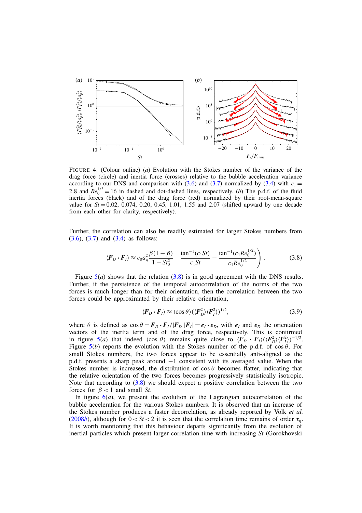

FIGURE 4. (Colour online) (*a*) Evolution with the Stokes number of the variance of the drag force (circle) and inertia force (crosses) relative to the bubble acceleration variance according to our DNS and comparison with  $(3.6)$  and  $(3.7)$  normalized by  $(3.4)$  with  $c_1 =$ 2.8 and  $Re_0^{1/2} = 16$  in dashed and dot-dashed lines, respectively. (*b*) The p.d.f. of the fluid inertia forces (black) and of the drag force (red) normalized by their root-mean-square value for  $St = 0.02$ , 0.074, 0.20, 0.45, 1.01, 1.55 and 2.07 (shifted upward by one decade from each other for clarity, respectively).

Further, the correlation can also be readily estimated for larger Stokes numbers from  $(3.6)$ ,  $(3.7)$  and  $(3.4)$  as follows:

$$
\langle \boldsymbol{F}_D \boldsymbol{\cdot} \boldsymbol{F}_I \rangle \approx c_0 a_\eta^2 \frac{\beta (1 - \beta)}{1 - St_0^2} \quad \frac{\tan^{-1} (c_1 St)}{c_1 St} - \frac{\tan^{-1} (c_1 Re_0^{1/2})}{c_1 Re_0^{1/2}} \bigg) \,. \tag{3.8}
$$

Figure  $5(a)$  shows that the relation  $(3.8)$  is in good agreement with the DNS results. Further, if the persistence of the temporal autocorrelation of the norms of the two forces is much longer than for their orientation, then the correlation between the two forces could be approximated by their relative orientation,

$$
\langle \boldsymbol{F}_D \boldsymbol{\cdot} \boldsymbol{F}_I \rangle \approx \langle \cos \theta \rangle (\langle \boldsymbol{F}_D^2 \rangle \langle \boldsymbol{F}_I^2 \rangle)^{1/2},\tag{3.9}
$$

where  $\theta$  is defined as  $\cos \theta = \mathbf{F}_D \cdot \mathbf{F}_I / |\mathbf{F}_D| |\mathbf{F}_I| = \mathbf{e}_I \cdot \mathbf{e}_D$ , with  $\mathbf{e}_I$  and  $\mathbf{e}_D$  the orientation vectors of the inertia term and of the drag force, respectively. This is confirmed in figure 5(*a*) that indeed  $\langle \cos \theta \rangle$  remains quite close to  $\langle F_D \cdot F_I \rangle (\langle F_D^2 \rangle \langle F_I^2 \rangle)^{-1/2}$ . Figure  $5(b)$  reports the evolution with the Stokes number of the p.d.f. of cos  $\theta$ . For small Stokes numbers, the two forces appear to be essentially anti-aligned as the p.d.f. presents a sharp peak around  $-1$  consistent with its averaged value. When the Stokes number is increased, the distribution of  $\cos \theta$  becomes flatter, indicating that the relative orientation of the two forces becomes progressively statistically isotropic. Note that according to (3.8) we should expect a positive correlation between the two forces for  $\beta < 1$  and small *St*.

In figure  $6(a)$ , we present the evolution of the Lagrangian autocorrelation of the bubble acceleration for the various Stokes numbers. It is observed that an increase of the Stokes number produces a faster decorrelation, as already reported by Volk *et al.* (2008*b*), although for  $0 < St < 2$  it is seen that the correlation time remains of order  $\tau_n$ . It is worth mentioning that this behaviour departs significantly from the evolution of inertial particles which present larger correlation time with increasing *St* (Gorokhovski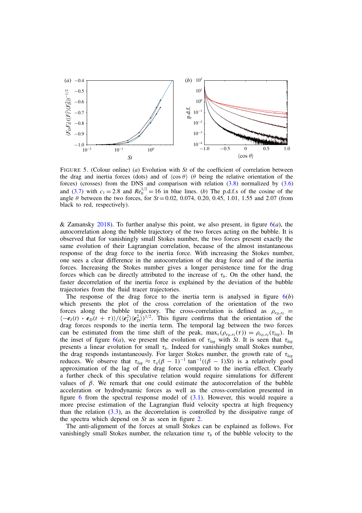

FIGURE 5. (Colour online) (*a*) Evolution with *St* of the coefficient of correlation between the drag and inertia forces (dots) and of  $\langle \cos \theta \rangle$  ( $\theta$  being the relative orientation of the forces) (crosses) from the DNS and comparison with relation  $(3.8)$  normalized by  $(3.6)$ and (3.7) with  $c_1 = 2.8$  and  $Re_0^{1/2} = 16$  in blue lines. (*b*) The p.d.f.s of the cosine of the angle  $\theta$  between the two forces, for  $St = 0.02$ , 0.074, 0.20, 0.45, 1.01, 1.55 and 2.07 (from black to red, respectively).

& Zamansky 2018). To further analyse this point, we also present, in figure  $6(a)$ , the autocorrelation along the bubble trajectory of the two forces acting on the bubble. It is observed that for vanishingly small Stokes number, the two forces present exactly the same evolution of their Lagrangian correlation, because of the almost instantaneous response of the drag force to the inertia force. With increasing the Stokes number, one sees a clear difference in the autocorrelation of the drag force and of the inertia forces. Increasing the Stokes number gives a longer persistence time for the drag forces which can be directly attributed to the increase of  $\tau_b$ . On the other hand, the faster decorrelation of the inertia force is explained by the deviation of the bubble trajectories from the fluid tracer trajectories.

The response of the drag force to the inertia term is analysed in figure  $6(b)$ which presents the plot of the cross correlation of the orientation of the two forces along the bubble trajectory. The cross-correlation is defined as  $\rho_{e_D,e_I}$  =  $\langle -e_I(t) \cdot e_D(t + \tau) \rangle / (\langle e_I^2 \rangle \langle e_D^2 \rangle)^{1/2}$ . This figure confirms that the orientation of the drag forces responds to the inertia term. The temporal lag between the two forces can be estimated from the time shift of the peak,  $\max_{\tau}(\rho_{e_D,e_I}(\tau)) = \rho_{e_D,e_I}(\tau_{lag})$ . In the inset of figure  $6(a)$ , we present the evolution of  $\tau_{lag}$  with *St*. It is seen that  $\tau_{lag}$ presents a linear evolution for small  $\tau_b$ . Indeed for vanishingly small Stokes number, the drag responds instantaneously. For larger Stokes number, the growth rate of  $\tau_{lag}$ reduces. We observe that  $\tau_{lag} \approx \tau_{\eta} (\beta - 1)^{-1} \tan^{-1}((\beta - 1)St)$  is a relatively good approximation of the lag of the drag force compared to the inertia effect. Clearly a further check of this speculative relation would require simulations for different values of  $\beta$ . We remark that one could estimate the autocorrelation of the bubble acceleration or hydrodynamic forces as well as the cross-correlation presented in figure 6 from the spectral response model of  $(3.1)$ . However, this would require a more precise estimation of the Lagrangian fluid velocity spectra at high frequency than the relation  $(3.3)$ , as the decorrelation is controlled by the dissipative range of the spectra which depend on *St* as seen in figure 2.

The anti-alignment of the forces at small Stokes can be explained as follows. For vanishingly small Stokes number, the relaxation time  $\tau_b$  of the bubble velocity to the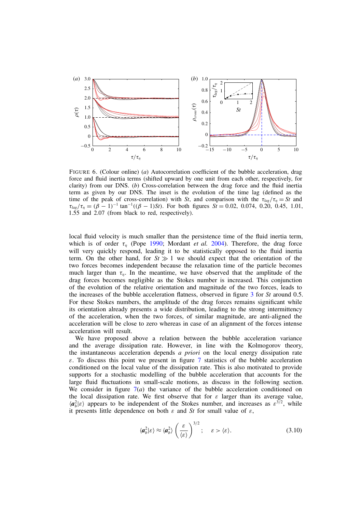

FIGURE 6. (Colour online) (*a*) Autocorrelation coefficient of the bubble acceleration, drag force and fluid inertia terms (shifted upward by one unit from each other, respectively, for clarity) from our DNS. (*b*) Cross-correlation between the drag force and the fluid inertia term as given by our DNS. The inset is the evolution of the time lag (defined as the time of the peak of cross-correlation) with *St*, and comparison with the  $\tau_{\text{la}e}/\tau_n = St$  and  $\tau_{\text{lag}}/\tau_n = (\beta - 1)^{-1} \tan^{-1}((\beta - 1)St)$ . For both figures  $St = 0.02, 0.074, 0.20, 0.45, 1.01$ , 1.55 and 2.07 (from black to red, respectively).

local fluid velocity is much smaller than the persistence time of the fluid inertia term, which is of order  $\tau_n$  (Pope 1990; Mordant *et al.* 2004). Therefore, the drag force will very quickly respond, leading it to be statistically opposed to the fluid inertia term. On the other hand, for  $St \gg 1$  we should expect that the orientation of the two forces becomes independent because the relaxation time of the particle becomes much larger than  $\tau_n$ . In the meantime, we have observed that the amplitude of the drag forces becomes negligible as the Stokes number is increased. This conjunction of the evolution of the relative orientation and magnitude of the two forces, leads to the increases of the bubble acceleration flatness, observed in figure 3 for *St* around 0.5. For these Stokes numbers, the amplitude of the drag forces remains significant while its orientation already presents a wide distribution, leading to the strong intermittency of the acceleration, when the two forces, of similar magnitude, are anti-aligned the acceleration will be close to zero whereas in case of an alignment of the forces intense acceleration will result.

We have proposed above a relation between the bubble acceleration variance and the average dissipation rate. However, in line with the Kolmogorov theory, the instantaneous acceleration depends *a priori* on the local energy dissipation rate  $\varepsilon$ . To discuss this point we present in figure 7 statistics of the bubble acceleration conditioned on the local value of the dissipation rate. This is also motivated to provide supports for a stochastic modelling of the bubble acceleration that accounts for the large fluid fluctuations in small-scale motions, as discuss in the following section. We consider in figure  $7(a)$  the variance of the bubble acceleration conditioned on the local dissipation rate. We first observe that for  $\varepsilon$  larger than its average value,  $\langle a_b^2 | \varepsilon \rangle$  appears to be independent of the Stokes number, and increases as  $\varepsilon^{3/2}$ , while it presents little dependence on both  $\varepsilon$  and *St* for small value of  $\varepsilon$ ,

$$
\langle \boldsymbol{a}_b^2 | \boldsymbol{\varepsilon} \rangle \approx \langle \boldsymbol{a}_b^2 \rangle \left( \frac{\varepsilon}{\langle \boldsymbol{\varepsilon} \rangle} \right)^{3/2}; \quad \boldsymbol{\varepsilon} > \langle \boldsymbol{\varepsilon} \rangle. \tag{3.10}
$$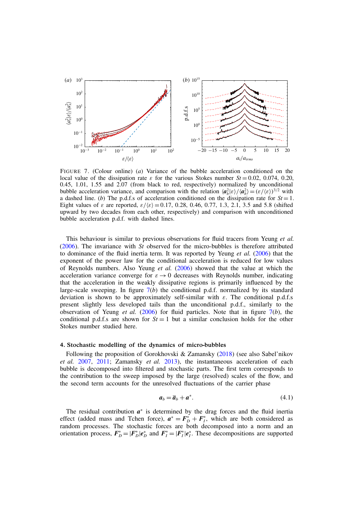

FIGURE 7. (Colour online) (*a*) Variance of the bubble acceleration conditioned on the local value of the dissipation rate  $\varepsilon$  for the various Stokes number  $St = 0.02$ , 0.074, 0.20, 0.45, 1.01, 1.55 and 2.07 (from black to red, respectively) normalized by unconditional bubble acceleration variance, and comparison with the relation  $\langle a_b^2 | \varepsilon \rangle / \langle a_b^2 \rangle = (\varepsilon / \langle \varepsilon \rangle)^{3/2}$  with a dashed line. (*b*) The p.d.f.s of acceleration conditioned on the dissipation rate for  $St = 1$ . Eight values of  $\varepsilon$  are reported,  $\varepsilon / \langle \varepsilon \rangle = 0.17, 0.28, 0.46, 0.77, 1.3, 2.1, 3.5$  and 5.8 (shifted upward by two decades from each other, respectively) and comparison with unconditioned bubble acceleration p.d.f. with dashed lines.

This behaviour is similar to previous observations for fluid tracers from Yeung *et al.* (2006). The invariance with *St* observed for the micro-bubbles is therefore attributed to dominance of the fluid inertia term. It was reported by Yeung *et al.* (2006) that the exponent of the power law for the conditional acceleration is reduced for low values of Reynolds numbers. Also Yeung *et al.* (2006) showed that the value at which the acceleration variance converge for  $\varepsilon \to 0$  decreases with Reynolds number, indicating that the acceleration in the weakly dissipative regions is primarily influenced by the large-scale sweeping. In figure  $7(b)$  the conditional p.d.f. normalized by its standard deviation is shown to be approximately self-similar with  $\varepsilon$ . The conditional p.d.f.s present slightly less developed tails than the unconditional p.d.f., similarly to the observation of Yeung *et al.* (2006) for fluid particles. Note that in figure  $7(b)$ , the conditional p.d.f.s are shown for  $St = 1$  but a similar conclusion holds for the other Stokes number studied here.

#### 4. Stochastic modelling of the dynamics of micro-bubbles

Following the proposition of Gorokhovski & Zamansky (2018) (see also Sabel'nikov *et al.* 2007, 2011; Zamansky *et al.* 2013), the instantaneous acceleration of each bubble is decomposed into filtered and stochastic parts. The first term corresponds to the contribution to the sweep imposed by the large (resolved) scales of the flow, and the second term accounts for the unresolved fluctuations of the carrier phase

$$
a_b = \overline{a}_b + a^*.\tag{4.1}
$$

The residual contribution  $a^*$  is determined by the drag forces and the fluid inertia effect (added mass and Tchen force),  $a^* = F_D^* + F_I^*$ , which are both considered as random processes. The stochastic forces are both decomposed into a norm and an orientation process,  $F_D^* = |F_D^*|e_D^*|$  and  $F_I^* = |F_I^*|e_I^*$ . These decompositions are supported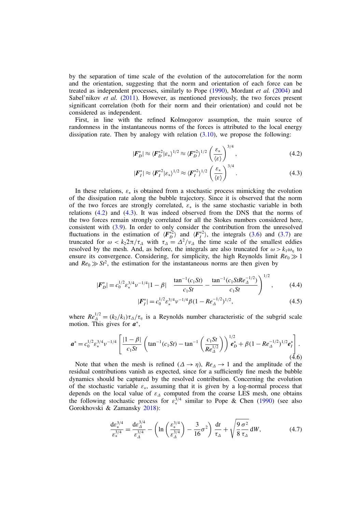by the separation of time scale of the evolution of the autocorrelation for the norm and the orientation, suggesting that the norm and orientation of each force can be treated as independent processes, similarly to Pope (1990), Mordant *et al.* (2004) and Sabel'nikov *et al.* (2011). However, as mentioned previously, the two forces present significant correlation (both for their norm and their orientation) and could not be considered as independent.

First, in line with the refined Kolmogorov assumption, the main source of randomness in the instantaneous norms of the forces is attributed to the local energy dissipation rate. Then by analogy with relation  $(3.10)$ , we propose the following:

$$
|\boldsymbol{F}_D^*| \approx \langle \boldsymbol{F}_D^{*2} | \boldsymbol{\varepsilon}_* \rangle^{1/2} \approx \langle \boldsymbol{F}_D^{*2} \rangle^{1/2} \left( \frac{\boldsymbol{\varepsilon}_*}{\langle \boldsymbol{\varepsilon} \rangle} \right)^{3/4}, \tag{4.2}
$$

$$
|\boldsymbol{F}_I^*| \approx \langle \boldsymbol{F}_I^*^2 | \boldsymbol{\varepsilon}_* \rangle^{1/2} \approx \langle \boldsymbol{F}_I^*^2 \rangle^{1/2} \left( \frac{\varepsilon_*}{\langle \boldsymbol{\varepsilon} \rangle} \right)^{3/4}.
$$
 (4.3)

In these relations,  $\varepsilon_*$  is obtained from a stochastic process mimicking the evolution of the dissipation rate along the bubble trajectory. Since it is observed that the norm of the two forces are strongly correlated,  $\varepsilon_*$  is the same stochastic variable in both relations (4.2) and (4.3). It was indeed observed from the DNS that the norms of the two forces remain strongly correlated for all the Stokes numbers considered here, consistent with (3.9). In order to only consider the contribution from the unresolved fluctuations in the estimation of  $\langle F_D^*{}^2 \rangle$  and  $\langle F_I^*{}^2 \rangle$ , the integrals (3.6) and (3.7) are truncated for  $\omega < k_2 2\pi/\tau_\Delta$  with  $\tau_\Delta = \Delta^2/\nu_\Delta$  the time scale of the smallest eddies resolved by the mesh. And, as before, the integrals are also truncated for  $\omega > k_1 \omega_n$  to ensure its convergence. Considering, for simplicity, the high Reynolds limit  $Re_0 \gg 1$ and  $Re_0 \gg St^2$ , the estimation for the instantaneous norms are then given by

$$
|\boldsymbol{F}_{D}^{*}| = c_0^{1/2} \varepsilon_*^{3/4} \nu^{-1/4} |1 - \beta| \quad \frac{\tan^{-1}(c_1 St)}{c_1 St} - \frac{\tan^{-1}(c_1 St Re_{\Delta}^{-1/2})}{c_1 St} \bigg)^{1/2}, \tag{4.4}
$$

$$
|\mathbf{F}_{I}^{*}| = c_0^{1/2} \varepsilon_*^{3/4} \nu^{-1/4} \beta (1 - Re_{\Delta}^{-1/2})^{1/2}, \tag{4.5}
$$

where  $Re_{\Delta}^{1/2} = (k_2/k_1) \tau_{\Delta}/\tau_{\eta}$  is a Reynolds number characteristic of the subgrid scale motion. This gives for  $a^*$ ,

$$
\boldsymbol{a}^* = c_0^{1/2} \varepsilon_*^{3/4} \nu^{-1/4} \left[ \frac{|1-\beta|}{c_1 St} \left( \tan^{-1}(c_1 St) - \tan^{-1} \left( \frac{c_1 St}{Re_{\Delta}^{1/2}} \right) \right)^{1/2} \boldsymbol{e}_D^* + \beta (1 - Re_{\Delta}^{-1/2})^{1/2} \boldsymbol{e}_I^* \right].
$$
\n(4.6)

Note that when the mesh is refined  $(\Delta \rightarrow \eta)$ ,  $Re_{\Delta} \rightarrow 1$  and the amplitude of the residual contributions vanish as expected, since for a sufficiently fine mesh the bubble dynamics should be captured by the resolved contribution. Concerning the evolution of the stochastic variable  $\varepsilon_{\ast}$ , assuming that it is given by a log-normal process that depends on the local value of  $\varepsilon_{\Delta}$  computed from the coarse LES mesh, one obtains the following stochastic process for  $\varepsilon_*^{3/4}$  similar to Pope & Chen (1990) (see also Gorokhovski & Zamansky 2018):

$$
\frac{d\varepsilon_{*}^{3/4}}{\varepsilon_{*}^{3/4}} = \frac{d\varepsilon_{\Delta}^{3/4}}{\varepsilon_{\Delta}^{3/4}} - \left(\ln\left(\frac{\varepsilon_{*}^{3/4}}{\varepsilon_{\Delta}^{3/4}}\right) - \frac{3}{16}\sigma^{2}\right)\frac{dt}{\tau_{\Delta}} + \sqrt{\frac{9\,\sigma^{2}}{8\,\tau_{\Delta}}} \, \mathrm{d}W,\tag{4.7}
$$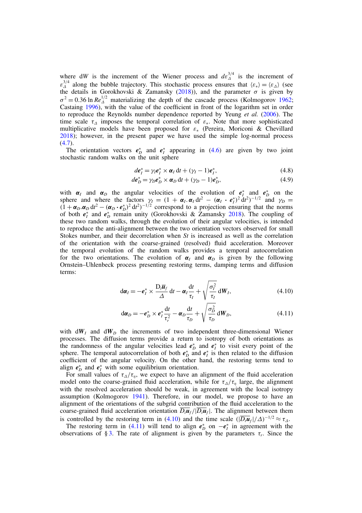where d*W* is the increment of the Wiener process and  $d\varepsilon_{\Delta}^{3/4}$  is the increment of  $\varepsilon_{\Delta}^{3/4}$  along the bubble trajectory. This stochastic process ensures that  $\langle \varepsilon_* \rangle = \langle \varepsilon_{\Delta} \rangle$  (see the details in Gorokhovski & Zamansky (2018)), and the parameter  $\sigma$  is given by  $\sigma^2 = 0.36 \ln Re_{\Delta}^{1/2}$  materializing the depth of the cascade process (Kolmogorov 1962; Castaing 1996), with the value of the coefficient in front of the logarithm set in order to reproduce the Reynolds number dependence reported by Yeung *et al.* (2006). The time scale  $\tau_{\Delta}$  imposes the temporal correlation of  $\varepsilon_{*}$ . Note that more sophisticated multiplicative models have been proposed for  $\varepsilon_*$  (Pereira, Moriconi & Chevillard 2018); however, in the present paper we have used the simple log-normal process  $(4.7).$ 

The orientation vectors  $e_D^*$  and  $e_I^*$  appearing in (4.6) are given by two joint stochastic random walks on the unit sphere

$$
de_I^* = \gamma_I e_I^* \times \alpha_I dt + (\gamma_I - 1)e_I^*,
$$
\n(4.8)

$$
de_D^* = \gamma_D e_D^* \times \alpha_D dt + (\gamma_D - 1)e_D^*,
$$
\n(4.9)

with  $\alpha_I$  and  $\alpha_D$  the angular velocities of the evolution of  $e_I^*$  and  $e_D^*$  on the sphere and where the factors  $\gamma_I = (1 + \alpha_I \cdot \alpha_I) dt^2 - (\alpha_I \cdot e_I^*)^2 dt^2)^{-1/2}$  and  $\gamma_D =$  $(1 + \alpha_D \cdot \alpha_D) d t^2 - (\alpha_D \cdot e_D^*)^2 d t^2$ <sup>-1/2</sup> correspond to a projection ensuring that the norms of both  $e^*_I$  and  $e^*_D$  remain unity (Gorokhovski & Zamansky 2018). The coupling of these two random walks, through the evolution of their angular velocities, is intended to reproduce the anti-alignment between the two orientation vectors observed for small Stokes number, and their decorrelation when *St* is increased as well as the correlation of the orientation with the coarse-grained (resolved) fluid acceleration. Moreover the temporal evolution of the random walks provides a temporal autocorrelation for the two orientations. The evolution of  $\alpha_l$  and  $\alpha_p$  is given by the following Ornstein–Uhlenbeck process presenting restoring terms, damping terms and diffusion terms:

$$
d\boldsymbol{\alpha}_I = -\boldsymbol{e}_I^* \times \frac{D_t \overline{\boldsymbol{u}}_f}{\Delta} dt - \boldsymbol{\alpha}_I \frac{dt}{\tau_I} + \sqrt{\frac{\sigma_I^2}{\tau_I}} dW_I,
$$
\n(4.10)

$$
d\alpha_D = -e_D^* \times e_I^* \frac{dt}{\tau_r^2} - \alpha_D \frac{dt}{\tau_D} + \sqrt{\frac{\sigma_D^2}{\tau_D}} dW_D, \qquad (4.11)
$$

with  $dW_l$  and  $dW_p$  the increments of two independent three-dimensional Wiener processes. The diffusion terms provide a return to isotropy of both orientations as the randomness of the angular velocities lead  $e_D^*$  and  $e_I^*$  to visit every point of the sphere. The temporal autocorrelation of both  $e_D^*$  and  $e_I^*$  is then related to the diffusion coefficient of the angular velocity. On the other hand, the restoring terms tend to align  $e_D^*$  and  $e_I^*$  with some equilibrium orientation.

For small values of  $\tau_{\Delta}/\tau_{\eta}$ , we expect to have an alignment of the fluid acceleration model onto the coarse-grained fluid acceleration, while for  $\tau_{\Delta}/\tau_{\eta}$  large, the alignment with the resolved acceleration should be weak, in agreement with the local isotropy assumption (Kolmogorov 1941). Therefore, in our model, we propose to have an alignment of the orientations of the subgrid contribution of the fluid acceleration to the coarse-grained fluid acceleration orientation  $\overline{D_t u_f}/|\overline{D_t u_f}|$ . The alignment between them is controlled by the restoring term in (4.10) and the time scale  $(|\overline{D_i u_f}|/\Delta)^{-1/2} \approx \tau_{\Delta}$ .

The restoring term in (4.11) will tend to align  $e^{\ast}_D$  on  $-e^{\ast}_I$  in agreement with the observations of § 3. The rate of alignment is given by the parameters  $\tau_r$ . Since the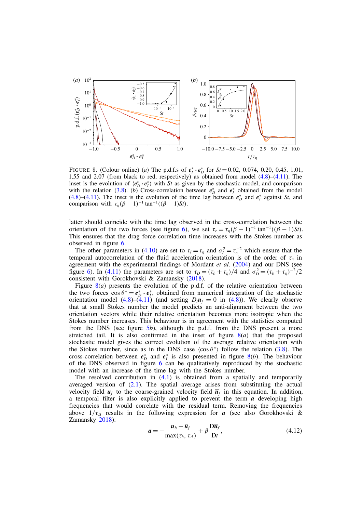

FIGURE 8. (Colour online) (*a*) The p.d.f.s of  $e^*_I \cdot e^*_D$  for  $St = 0.02, 0.074, 0.20, 0.45, 1.01,$ 1.55 and 2.07 (from black to red, respectively) as obtained from model (4.8)–(4.11). The inset is the evolution of  $\langle e^*_{D} \cdot e^*_{I} \rangle$  with *St* as given by the stochastic model, and comparison with the relation (3.8). (*b*) Cross-correlation between  $e^*_{D}$  and  $e^*_{I}$  obtained from the model (4.8)–(4.11). The inset is the evolution of the time lag between  $e^*_{D}$  and  $e^*_{I}$  against *St*, and comparison with  $\tau_{\eta}(\beta - 1)^{-1} \tan^{-1}((\beta - 1)St)$ .

latter should coincide with the time lag observed in the cross-correlation between the orientation of the two forces (see figure 6), we set  $\tau_r = \tau_n(\beta - 1)^{-1} \tan^{-1}((\beta - 1)St)$ . This ensures that the drag force correlation time increases with the Stokes number as observed in figure 6.

The other parameters in (4.10) are set to  $\tau_l = \tau_{\eta}$  and  $\sigma_l^2 = \tau_{\eta}^{-2}$  which ensure that the temporal autocorrelation of the fluid acceleration orientation is of the order of  $\tau_{\eta}$  in agreement with the experimental findings of Mordant *et al.* (2004) and our DNS (see figure 6). In (4.11) the parameters are set to  $\tau_D = (\tau_b + \tau_\eta)/4$  and  $\sigma_D^2 = (\tau_b + \tau_\eta)^{-2}/2$ consistent with Gorokhovski & Zamansky (2018).

Figure  $8(a)$  presents the evolution of the p.d.f. of the relative orientation between the two forces  $\cos \theta^* = e_D^* \cdot e_I^*$ , obtained from numerical integration of the stochastic orientation model (4.8)–(4.11) (and setting  $D_t\overline{u}_f = 0$  in (4.8)). We clearly observe that at small Stokes number the model predicts an anti-alignment between the two orientation vectors while their relative orientation becomes more isotropic when the Stokes number increases. This behaviour is in agreement with the statistics computed from the DNS (see figure 5*b*), although the p.d.f. from the DNS present a more stretched tail. It is also confirmed in the inset of figure  $8(a)$  that the proposed stochastic model gives the correct evolution of the average relative orientation with the Stokes number, since as in the DNS case  $\langle \cos \theta^* \rangle$  follow the relation (3.8). The cross-correlation between  $e_D^*$  and  $e_I^*$  is also presented in figure 8(*b*). The behaviour of the DNS observed in figure 6 can be qualitatively reproduced by the stochastic model with an increase of the time lag with the Stokes number.

The resolved contribution in  $(4.1)$  is obtained from a spatially and temporarily averaged version of  $(2.1)$ . The spatial average arises from substituting the actual velocity field  $u_f$  to the coarse-grained velocity field  $\overline{u}_f$  in this equation. In addition, a temporal filter is also explicitly applied to prevent the term  $\bar{a}$  developing high frequencies that would correlate with the residual term. Removing the frequencies above  $1/\tau_A$  results in the following expression for  $\bar{a}$  (see also Gorokhovski & Zamansky 2018):

$$
\overline{a} = -\frac{u_b - \overline{u}_f}{\max(\tau_b, \tau_{\Delta})} + \beta \frac{\mathrm{D} \overline{u}_f}{\mathrm{D} t},\tag{4.12}
$$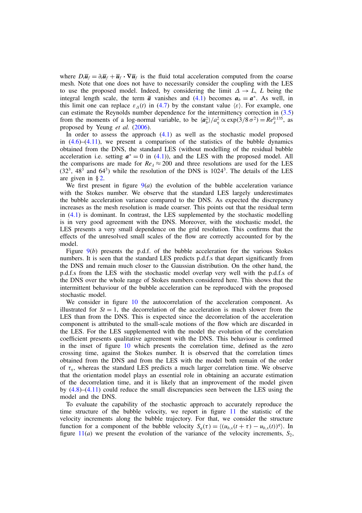where  $D_t \overline{u}_f = \partial_t \overline{u}_f + \overline{u}_f \cdot \nabla \overline{u}_f$  is the fluid total acceleration computed from the coarse mesh. Note that one does not have to necessarily consider the coupling with the LES to use the proposed model. Indeed, by considering the limit  $\Delta \rightarrow L$ , *L* being the integral length scale, the term  $\bar{a}$  vanishes and (4.1) becomes  $a_b = a^*$ . As well, in this limit one can replace  $\varepsilon_{\Lambda}(t)$  in (4.7) by the constant value  $\langle \varepsilon \rangle$ . For example, one can estimate the Reynolds number dependence for the intermittency correction in (3.5) from the moments of a log-normal variable, to be  $\langle a_b^2 \rangle / a_\eta^2 \propto \exp(3/8 \sigma^2) = Re_\lambda^{0.135}$ , as proposed by Yeung *et al.* (2006).

In order to assess the approach (4.1) as well as the stochastic model proposed in  $(4.6)$ – $(4.11)$ , we present a comparison of the statistics of the bubble dynamics obtained from the DNS, the standard LES (without modelling of the residual bubble acceleration i.e. setting  $a^* = 0$  in (4.1)), and the LES with the proposed model. All the comparisons are made for  $Re_\lambda \approx 200$  and three resolutions are used for the LES  $(32<sup>3</sup>, 48<sup>3</sup>$  and  $64<sup>3</sup>$ ) while the resolution of the DNS is 1024<sup>3</sup>. The details of the LES are given in  $\S 2$ .

We first present in figure  $9(a)$  the evolution of the bubble acceleration variance with the Stokes number. We observe that the standard LES largely underestimates the bubble acceleration variance compared to the DNS. As expected the discrepancy increases as the mesh resolution is made coarser. This points out that the residual term in (4.1) is dominant. In contrast, the LES supplemented by the stochastic modelling is in very good agreement with the DNS. Moreover, with the stochastic model, the LES presents a very small dependence on the grid resolution. This confirms that the effects of the unresolved small scales of the flow are correctly accounted for by the model.

Figure 9(*b*) presents the p.d.f. of the bubble acceleration for the various Stokes numbers. It is seen that the standard LES predicts p.d.f.s that depart significantly from the DNS and remain much closer to the Gaussian distribution. On the other hand, the p.d.f.s from the LES with the stochastic model overlap very well with the p.d.f.s of the DNS over the whole range of Stokes numbers considered here. This shows that the intermittent behaviour of the bubble acceleration can be reproduced with the proposed stochastic model.

We consider in figure 10 the autocorrelation of the acceleration component. As illustrated for  $St = 1$ , the decorrelation of the acceleration is much slower from the LES than from the DNS. This is expected since the decorrelation of the acceleration component is attributed to the small-scale motions of the flow which are discarded in the LES. For the LES supplemented with the model the evolution of the correlation coefficient presents qualitative agreement with the DNS. This behaviour is confirmed in the inset of figure 10 which presents the correlation time, defined as the zero crossing time, against the Stokes number. It is observed that the correlation times obtained from the DNS and from the LES with the model both remain of the order of  $\tau_{\eta}$ , whereas the standard LES predicts a much larger correlation time. We observe that the orientation model plays an essential role in obtaining an accurate estimation of the decorrelation time, and it is likely that an improvement of the model given by (4.8)–(4.11) could reduce the small discrepancies seen between the LES using the model and the DNS.

To evaluate the capability of the stochastic approach to accurately reproduce the time structure of the bubble velocity, we report in figure 11 the statistic of the velocity increments along the bubble trajectory. For that, we consider the structure function for a component of the bubble velocity  $S_q(\tau) = \langle (u_{b,x}(t + \tau) - u_{b,x}(t))^q \rangle$ . In figure  $11(a)$  we present the evolution of the variance of the velocity increments,  $S_2$ ,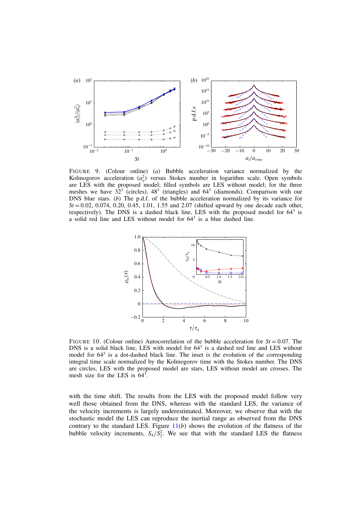

FIGURE 9. (Colour online) (*a*) Bubble acceleration variance normalized by the Kolmogorov acceleration  $(a_n^2)$  versus Stokes number in logarithm scale. Open symbols are LES with the proposed model; filled symbols are LES without model; for the three meshes we have  $32^3$  (circles),  $48^3$  (triangles) and  $64^3$  (diamonds). Comparison with our DNS blue stars. (*b*) The p.d.f. of the bubble acceleration normalized by its variance for  $St = 0.02, 0.074, 0.20, 0.45, 1.01, 1.55$  and  $2.07$  (shifted upward by one decade each other, respectively). The DNS is a dashed black line, LES with the proposed model for 643 is a solid red line and LES without model for 643 is a blue dashed line.



FIGURE 10. (Colour online) Autocorrelation of the bubble acceleration for  $St = 0.07$ . The DNS is a solid black line, LES with model for  $64<sup>3</sup>$  is a dashed red line and LES without model for  $64<sup>3</sup>$  is a dot-dashed black line. The inset is the evolution of the corresponding integral time scale normalized by the Kolmogorov time with the Stokes number. The DNS are circles, LES with the proposed model are stars, LES without model are crosses. The mesh size for the LES is 643.

with the time shift. The results from the LES with the proposed model follow very well those obtained from the DNS, whereas with the standard LES, the variance of the velocity increments is largely underestimated. Moreover, we observe that with the stochastic model the LES can reproduce the inertial range as observed from the DNS contrary to the standard LES. Figure 11(*b*) shows the evolution of the flatness of the bubble velocity increments,  $S_4/S_2^2$ . We see that with the standard LES the flatness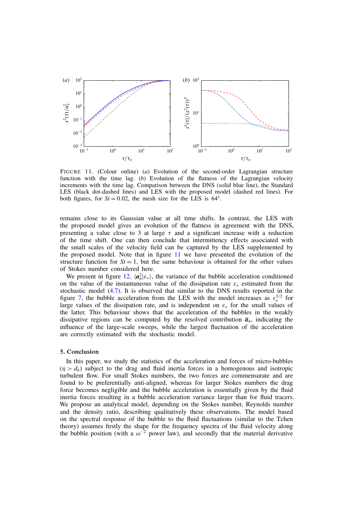

FIGURE 11. (Colour online) (*a*) Evolution of the second-order Lagrangian structure function with the time lag. (*b*) Evolution of the flatness of the Lagrangian velocity increments with the time lag. Comparison between the DNS (solid blue line), the Standard LES (black dot-dashed lines) and LES with the proposed model (dashed red lines). For both figures, for  $St = 0.02$ , the mesh size for the LES is  $64<sup>3</sup>$ .

remains close to its Gaussian value at all time shifts. In contrast, the LES with the proposed model gives an evolution of the flatness in agreement with the DNS, presenting a value close to 3 at large  $\tau$  and a significant increase with a reduction of the time shift. One can then conclude that intermittency effects associated with the small scales of the velocity field can be captured by the LES supplemented by the proposed model. Note that in figure 11 we have presented the evolution of the structure function for  $St = 1$ , but the same behaviour is obtained for the other values of Stokes number considered here.

We present in figure 12,  $\langle a_b^2 | \varepsilon_* \rangle$ , the variance of the bubble acceleration conditioned on the value of the instantaneous value of the dissipation rate  $\varepsilon_*$  estimated from the stochastic model (4.7). It is observed that similar to the DNS results reported in the figure 7, the bubble acceleration from the LES with the model increases as  $\varepsilon^{3/2}$  for large values of the dissipation rate, and is independent on  $\varepsilon_*$  for the small values of the latter. This behaviour shows that the acceleration of the bubbles in the weakly dissipative regions can be computed by the resolved contribution  $\bar{a}_b$ , indicating the influence of the large-scale sweeps, while the largest fluctuation of the acceleration are correctly estimated with the stochastic model.

#### 5. Conclusion

In this paper, we study the statistics of the acceleration and forces of micro-bubbles  $(\eta > d_b)$  subject to the drag and fluid inertia forces in a homogenous and isotropic turbulent flow. For small Stokes numbers, the two forces are commensurate and are found to be preferentially anti-aligned, whereas for larger Stokes numbers the drag force becomes negligible and the bubble acceleration is essentially given by the fluid inertia forces resulting in a bubble acceleration variance larger than for fluid tracers. We propose an analytical model, depending on the Stokes number, Reynolds number and the density ratio, describing qualitatively these observations. The model based on the spectral response of the bubble to the fluid fluctuations (similar to the Tchen theory) assumes firstly the shape for the frequency spectra of the fluid velocity along the bubble position (with a  $\omega^{-2}$  power law), and secondly that the material derivative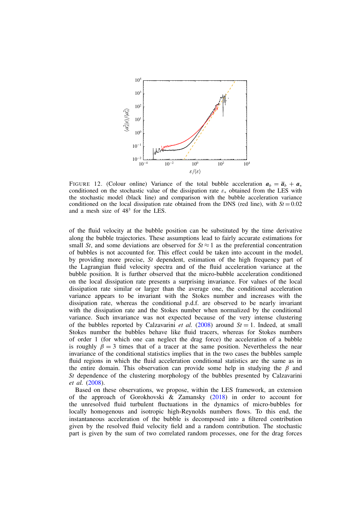

FIGURE 12. (Colour online) Variance of the total bubble acceleration  $a_b = \overline{a}_b + a_*$ conditioned on the stochastic value of the dissipation rate  $\varepsilon_{*}$  obtained from the LES with the stochastic model (black line) and comparison with the bubble acceleration variance conditioned on the local dissipation rate obtained from the DNS (red line), with  $St = 0.02$ and a mesh size of 483 for the LES.

of the fluid velocity at the bubble position can be substituted by the time derivative along the bubble trajectories. These assumptions lead to fairly accurate estimations for small *St*, and some deviations are observed for  $St \approx 1$  as the preferential concentration of bubbles is not accounted for. This effect could be taken into account in the model, by providing more precise, *St* dependent, estimation of the high frequency part of the Lagrangian fluid velocity spectra and of the fluid acceleration variance at the bubble position. It is further observed that the micro-bubble acceleration conditioned on the local dissipation rate presents a surprising invariance. For values of the local dissipation rate similar or larger than the average one, the conditional acceleration variance appears to be invariant with the Stokes number and increases with the dissipation rate, whereas the conditional p.d.f. are observed to be nearly invariant with the dissipation rate and the Stokes number when normalized by the conditional variance. Such invariance was not expected because of the very intense clustering of the bubbles reported by Calzavarini *et al.* (2008) around  $St = 1$ . Indeed, at small Stokes number the bubbles behave like fluid tracers, whereas for Stokes numbers of order 1 (for which one can neglect the drag force) the acceleration of a bubble is roughly  $\beta = 3$  times that of a tracer at the same position. Nevertheless the near invariance of the conditional statistics implies that in the two cases the bubbles sample fluid regions in which the fluid acceleration conditional statistics are the same as in the entire domain. This observation can provide some help in studying the  $\beta$  and *St* dependence of the clustering morphology of the bubbles presented by Calzavarini *et al.* (2008).

Based on these observations, we propose, within the LES framework, an extension of the approach of Gorokhovski & Zamansky (2018) in order to account for the unresolved fluid turbulent fluctuations in the dynamics of micro-bubbles for locally homogenous and isotropic high-Reynolds numbers flows. To this end, the instantaneous acceleration of the bubble is decomposed into a filtered contribution given by the resolved fluid velocity field and a random contribution. The stochastic part is given by the sum of two correlated random processes, one for the drag forces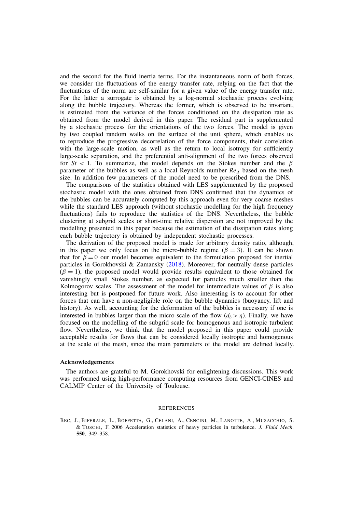and the second for the fluid inertia terms. For the instantaneous norm of both forces, we consider the fluctuations of the energy transfer rate, relying on the fact that the fluctuations of the norm are self-similar for a given value of the energy transfer rate. For the latter a surrogate is obtained by a log-normal stochastic process evolving along the bubble trajectory. Whereas the former, which is observed to be invariant, is estimated from the variance of the forces conditioned on the dissipation rate as obtained from the model derived in this paper. The residual part is supplemented by a stochastic process for the orientations of the two forces. The model is given by two coupled random walks on the surface of the unit sphere, which enables us to reproduce the progressive decorrelation of the force components, their correlation with the large-scale motion, as well as the return to local isotropy for sufficiently large-scale separation, and the preferential anti-alignment of the two forces observed for  $St < 1$ . To summarize, the model depends on the Stokes number and the  $\beta$ parameter of the bubbles as well as a local Reynolds number  $Re<sub>A</sub>$  based on the mesh size. In addition few parameters of the model need to be prescribed from the DNS.

The comparisons of the statistics obtained with LES supplemented by the proposed stochastic model with the ones obtained from DNS confirmed that the dynamics of the bubbles can be accurately computed by this approach even for very coarse meshes while the standard LES approach (without stochastic modelling for the high frequency fluctuations) fails to reproduce the statistics of the DNS. Nevertheless, the bubble clustering at subgrid scales or short-time relative dispersion are not improved by the modelling presented in this paper because the estimation of the dissipation rates along each bubble trajectory is obtained by independent stochastic processes.

The derivation of the proposed model is made for arbitrary density ratio, although, in this paper we only focus on the micro-bubble regime ( $\beta = 3$ ). It can be shown that for  $\beta = 0$  our model becomes equivalent to the formulation proposed for inertial particles in Gorokhovski & Zamansky (2018). Moreover, for neutrally dense particles  $(\beta = 1)$ , the proposed model would provide results equivalent to those obtained for vanishingly small Stokes number, as expected for particles much smaller than the Kolmogorov scales. The assessment of the model for intermediate values of  $\beta$  is also interesting but is postponed for future work. Also interesting is to account for other forces that can have a non-negligible role on the bubble dynamics (buoyancy, lift and history). As well, accounting for the deformation of the bubbles is necessary if one is interested in bubbles larger than the micro-scale of the flow  $(d_b > \eta)$ . Finally, we have focused on the modelling of the subgrid scale for homogenous and isotropic turbulent flow. Nevertheless, we think that the model proposed in this paper could provide acceptable results for flows that can be considered locally isotropic and homogenous at the scale of the mesh, since the main parameters of the model are defined locally.

#### Acknowledgements

The authors are grateful to M. Gorokhovski for enlightening discussions. This work was performed using high-performance computing resources from GENCI-CINES and CALMIP Center of the University of Toulouse.

#### REFERENCES

BEC, J., BIFERALE, L., BOFFETTA, G., CELANI, A., CENCINI, M., LANOTTE, A., MUSACCHIO, S. & TOSCHI, F. 2006 Acceleration statistics of heavy particles in turbulence. *J. Fluid Mech.* 550, 349–358.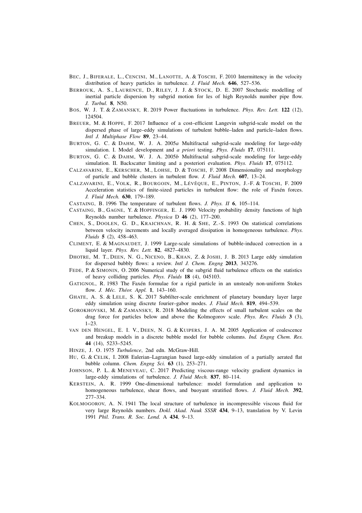- BEC, J., BIFERALE, L., CENCINI, M., LANOTTE, A. & TOSCHI, F. 2010 Intermittency in the velocity distribution of heavy particles in turbulence. *J. Fluid Mech.* 646, 527–536.
- BERROUK, A. S., LAURENCE, D., RILEY, J. J. & STOCK, D. E. 2007 Stochastic modelling of inertial particle dispersion by subgrid motion for les of high Reynolds number pipe flow. *J. Turbul.* 8, N50.
- BOS, W. J. T. & ZAMANSKY, R. 2019 Power fluctuations in turbulence. *Phys. Rev. Lett.* 122 (12), 124504.
- BREUER, M. & HOPPE, F. 2017 Influence of a cost–efficient Langevin subgrid-scale model on the dispersed phase of large–eddy simulations of turbulent bubble–laden and particle–laden flows. *Intl J. Multiphase Flow* 89, 23–44.
- BURTON, G. C. & DAHM, W. J. A. 2005*a* Multifractal subgrid-scale modeling for large-eddy simulation. I. Model development and *a priori* testing. *Phys. Fluids* 17, 075111.
- BURTON, G. C. & DAHM, W. J. A. 2005*b* Multifractal subgrid-scale modeling for large-eddy simulation. II. Backscatter limiting and a posteriori evaluation. *Phys. Fluids* 17, 075112.
- CALZAVARINI, E., KERSCHER, M., LOHSE, D. & TOSCHI, F. 2008 Dimensionality and morphology of particle and bubble clusters in turbulent flow. *J. Fluid Mech.* 607, 13–24.
- CALZAVARINI, E., VOLK, R., BOURGOIN, M., LÉVÊQUE, E., PINTON, J.-F. & TOSCHI, F. 2009 Acceleration statistics of finite-sized particles in turbulent flow: the role of Faxén forces. *J. Fluid Mech.* 630, 179–189.
- CASTAING, B. 1996 The temperature of turbulent flows. *J. Phys. II* 6, 105–114.
- CASTAING, B., GAGNE, Y. & HOPFINGER, E. J. 1990 Velocity probability density functions of high Reynolds number turbulence. *Physica* D 46 (2), 177–200.
- CHEN, S., DOOLEN, G. D., KRAICHNAN, R. H. & SHE, Z.-S. 1993 On statistical correlations between velocity increments and locally averaged dissipation in homogeneous turbulence. *Phys. Fluids* 5 (2), 458–463.
- CLIMENT, E. & MAGNAUDET, J. 1999 Large-scale simulations of bubble-induced convection in a liquid layer. *Phys. Rev. Lett.* 82, 4827–4830.
- DHOTRE, M. T., DEEN, N. G., NICENO, B., KHAN, Z. & JOSHI, J. B. 2013 Large eddy simulation for dispersed bubbly flows: a review. *Intl J. Chem. Engng* 2013, 343276.
- FEDE, P. & SIMONIN, O. 2006 Numerical study of the subgrid fluid turbulence effects on the statistics of heavy colliding particles. *Phys. Fluids* 18 (4), 045103.
- GATIGNOL, R. 1983 The Faxén formulae for a rigid particle in an unsteady non-uniform Stokes flow. *J. Méc. Théor. Appl.* 1, 143–160.
- GHATE, A. S. & LELE, S. K. 2017 Subfilter-scale enrichment of planetary boundary layer large eddy simulation using discrete fourier–gabor modes. *J. Fluid Mech.* 819, 494–539.
- GOROKHOVSKI, M. & ZAMANSKY, R. 2018 Modeling the effects of small turbulent scales on the drag force for particles below and above the Kolmogorov scale. *Phys. Rev. Fluids* 3 (3),  $1 - 23$
- VAN DEN HENGEL, E. I. V., DEEN, N. G. & KUIPERS, J. A. M. 2005 Application of coalescence and breakup models in a discrete bubble model for bubble columns. *Ind. Engng Chem. Res.* 44 (14), 5233–5245.
- HINZE, J. O. 1975 *Turbulence*, 2nd edn. McGraw-Hill.
- HU, G. & CELIK, I. 2008 Eulerian–Lagrangian based large-eddy simulation of a partially aerated flat bubble column. *Chem. Engng Sci.* 63 (1), 253–271.
- JOHNSON, P. L. & MENEVEAU, C. 2017 Predicting viscous-range velocity gradient dynamics in large-eddy simulations of turbulence. *J. Fluid Mech.* 837, 80–114.
- KERSTEIN, A. R. 1999 One-dimensional turbulence: model formulation and application to homogeneous turbulence, shear flows, and buoyant stratified flows. *J. Fluid Mech.* 392, 277–334.
- KOLMOGOROV, A. N. 1941 The local structure of turbulence in incompressible viscous fluid for very large Reynolds numbers. *Dokl. Akad. Nauk SSSR* 434, 9–13, translation by V. Levin 1991 *Phil. Trans. R. Soc. Lond.* A 434, 9–13.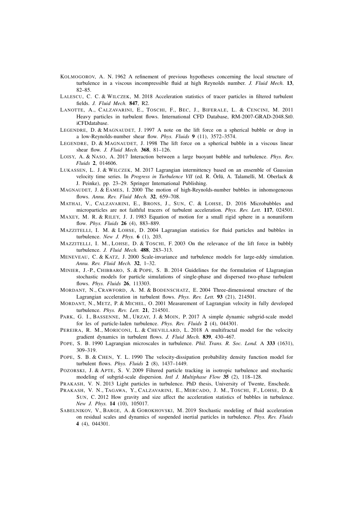- KOLMOGOROV, A. N. 1962 A refinement of previous hypotheses concerning the local structure of turbulence in a viscous incompressible fluid at high Reynolds number. *J. Fluid Mech.* 13, 82–85.
- LALESCU, C. C. & WILCZEK, M. 2018 Acceleration statistics of tracer particles in filtered turbulent fields. *J. Fluid Mech.* 847, R2.
- LANOTTE, A., CALZAVARINI, E., TOSCHI, F., BEC, J., BIFERALE, L. & CENCINI, M. 2011 Heavy particles in turbulent flows. International CFD Database, RM-2007-GRAD-2048.St0. iCFDdatabase.
- LEGENDRE, D. & MAGNAUDET, J. 1997 A note on the lift force on a spherical bubble or drop in a low-Reynolds-number shear flow. *Phys. Fluids* 9 (11), 3572–3574.
- LEGENDRE, D. & MAGNAUDET, J. 1998 The lift force on a spherical bubble in a viscous linear shear flow. *J. Fluid Mech.* 368, 81–126.
- LOISY, A. & NASO, A. 2017 Interaction between a large buoyant bubble and turbulence. *Phys. Rev. Fluids* 2, 014606.
- LUKASSEN, L. J. & WILCZEK, M. 2017 Lagrangian intermittency based on an ensemble of Gaussian velocity time series. In *Progress in Turbulence VII* (ed. R. Örlü, A. Talamelli, M. Oberlack & J. Peinke), pp. 23–29. Springer International Publishing.
- MAGNAUDET, J. & EAMES, I. 2000 The motion of high-Reynolds-number bubbles in inhomogeneous flows. *Annu. Rev. Fluid Mech.* 32, 659–708.
- MATHAI, V., CALZAVARINI, E., BRONS, J., SUN, C. & LOHSE, D. 2016 Microbubbles and microparticles are not faithful tracers of turbulent acceleration. *Phys. Rev. Lett.* 117, 024501.
- MAXEY, M. R. & RILEY, J. J. 1983 Equation of motion for a small rigid sphere in a nonuniform flow. *Phys. Fluids* 26 (4), 883–889.
- MAZZITELLI, I. M. & LOHSE, D. 2004 Lagrangian statistics for fluid particles and bubbles in turbulence. *New J. Phys.* 6 (1), 203.
- MAZZITELLI, I. M., LOHSE, D. & TOSCHI, F. 2003 On the relevance of the lift force in bubbly turbulence. *J. Fluid Mech.* 488, 283–313.
- MENEVEAU, C. & KATZ, J. 2000 Scale-invariance and turbulence models for large-eddy simulation. *Annu. Rev. Fluid Mech.* 32, 1–32.
- MINIER, J.-P., CHIBBARO, S. & POPE, S. B. 2014 Guidelines for the formulation of Llagrangian stochastic models for particle simulations of single-phase and dispersed two-phase turbulent flows. *Phys. Fluids* 26, 113303.
- MORDANT, N., CRAWFORD, A. M. & BODENSCHATZ, E. 2004 Three-dimensional structure of the Lagrangian acceleration in turbulent flows. *Phys. Rev. Lett.* 93 (21), 214501.
- MORDANT, N., METZ, P. & MICHEL, O. 2001 Measurement of Lagrangian velocity in fully developed turbulence. *Phys. Rev. Lett.* 21, 214501.
- PARK, G. I., BASSENNE, M., URZAY, J. & MOIN, P. 2017 A simple dynamic subgrid-scale model for les of particle-laden turbulence. *Phys. Rev. Fluids* 2 (4), 044301.
- PEREIRA, R. M., MORICONI, L. & CHEVILLARD, L. 2018 A multifractal model for the velocity gradient dynamics in turbulent flows. *J. Fluid Mech.* 839, 430–467.
- POPE, S. B. 1990 Lagrangian microscales in turbulence. *Phil. Trans. R. Soc. Lond.* A 333 (1631), 309–319.
- POPE, S. B. & CHEN, Y. L. 1990 The velocity-dissipation probability density function model for turbulent flows. *Phys. Fluids* 2 (8), 1437–1449.
- POZORSKI, J. & APTE, S. V. 2009 Filtered particle tracking in isotropic turbulence and stochastic modeling of subgrid-scale dispersion. *Intl J. Multiphase Flow* 35 (2), 118–128.
- PRAKASH, V. N. 2013 Light particles in turbulence. PhD thesis, University of Twente, Enschede.
- PRAKASH, V. N., TAGAWA, Y., CALZAVARINI, E., MERCADO, J. M., TOSCHI, F., LOHSE, D. & SUN, C. 2012 How gravity and size affect the acceleration statistics of bubbles in turbulence. *New J. Phys.* 14 (10), 105017.
- SABELNIKOV, V., BARGE, A. & GOROKHOVSKI, M. 2019 Stochastic modeling of fluid acceleration on residual scales and dynamics of suspended inertial particles in turbulence. *Phys. Rev. Fluids* 4 (4), 044301.